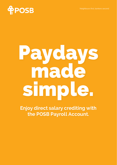

# Paydays made simple.

**Enjoy direct salary crediting with the POSB Payroll Account.**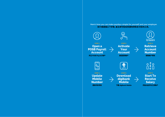**Here's how you can make paydays simple for yourself and your employer. 您只需遵循以下步骤,雇主即可轻松快捷地转账支付您的工资。**

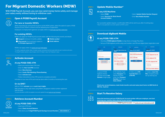# **For Migrant Domestic Workers (MDW)**

**With POSB Payroll Account, you can now send money home safely and manage your salary easily without having to withdraw cash.**



## **Open A POSB Payroll Account**

#### **For new or transfer MDWs**

When requesting for work permit issuance via the MOM system, select the option to open a POSB Payroll account. MDW's consent must be obtained prior to application. Employers or employment agencies can apply online via mom.gov.sg/fdw-eservices

#### **For existing MDWs**

MDWs can apply for POSB Payroll account online with the following documents and details:

- **• Passport** (minimum 6 months validity)
- **Mobile number** <sup>1</sup>
- **• Work permit** (front and back copies) or **In-Principle Approval** (IPA)<sup>2</sup>
- **Email address**

MDWs can apply online via posb.com.sg/mdwapply

 $1$  To verify a duplicate number, letter of mobile number ownership must be issued within the last 3 months by the telco <sup>2</sup> If using IPA, please upload a copy of page 1 and 2 of 'Helper's copy' (not 'Employer's copy')

#### **Activate Account**



## **At any POSB/DBS ATM:**

• Insert your inactive New ATM card

- Enter the **New Card PIN** received
- Select **More Services**
- 
- Select **Cards/PIN/iBanking/Phone Banking**
- Select **Activate Card**
- Follow instructions on the ATM screen to complete activation

Activation of your new ATM card must be done within 3 months of receiving the card.

#### **Or via SMS3:**

#### SMS to 77767: **Activate**<space>**card's last 4 digits.**

SMS activation is only valid when using MDW's Singapore mobile number registered with the bank. <sup>3</sup> Account activation via SMS only applies to accounts applied through posb.com.sg/mdwapply

#### **Retrieve Account Number STEP 3**

#### **At any POSB/DBS ATM:**

• Insert your ATM card

• Select **Check Account Balance**

• Note down your **9-digit POSB Payroll Savings Account Number XXX-XXXXX-X**

**Savings Account 123-45678-9**

## **Update Mobile Number4**

#### **At any AXS Machine:**

- Select **POSB** • Select **Services for Work Permit Account Holders**
- Select **Update Mobile Number Request**
- Enter **New Mobile Number**

For successful update request, a confirmation SMS will be sent to you after 2 working days. 4 Step 4 is only applicable to accounts applied via MOM's system

## **STEP 5**  $\ddot{\phi}$

**STEP 4**

B

## **At any POSB/DBS ATM:**

**Download digibank Mobile**

• Download **POSB digibank Mobile** via App Store or Google Play Store

• Set up a POSB digibank profile using card number, card PIN and digital token registration code



**Check your account balance, make funds transfer and send salary back home via DBS Remit at S\$0 fee. Anytime!**

#### **Start To Receive Salary STEP 6**



**Share this brochure and your POSB Payroll Account number with your employer, and start receiving your monthly salary directly to your account.**

For more information about the **POSB Payroll Account,** visit posb.com.sg/mdwsalarycredit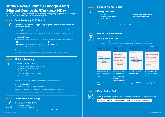## **Untuk Pekerja Rumah Tangga Asing (Migrant Domestic Workers/MDW)**

**Dengan Rekening POSB Payroll, Anda kini bisa mengirim pulang uang dengan aman dan mengelola gaji Anda dengan mudah tanpa harus menarik uang tunai.**

#### **Buka Rekening POSB Payroll LANGKAH 1**



#### **Untuk Pekerja Rumah Tangga Asing (Migrant Domestic Workers/MDW) baru atau transfer**

Saat meminta penerbitan izin kerja melalui sistem MOM, pilih opsi untuk membuka rekening POSB Payroll. Persetujuan MDW harus didapatkan terlebih dahulu sebelum aplikasi.

Pemberi kerja atau agen pekerjaan dapat mengajukan aplikasi secara online melalui mom.gov.sg/fdw-eservices

#### **Untuk MDW lama**

MDW dapat mengajukan aplikasi rekening POSB Payroll secara online dengan dokumen dan detail berikut ini:

**•• Paspor** (validitas minimum 6 bulan)

**• Izin kerja** (salinan depan dan belakang) atau **In-Principle Approval** (Persetujuan Prinsip/IPA)2



MDW dapat mengajukan aplikasi secara online melalui posb.com.sg/mdwapply

1 Untuk memverifikasi nomor duplikat, surat kepemilikan nomor ponsel harus diterbitkan dalam 3 bulan terakhir oleh telco <sup>2</sup> Jika menggunakan IPA, silakan unggah salinan halaman 1 dan 2 'salinan Asisten' (bukan 'Salinan Pemberi Kerja')

#### **Aktivasi Rekening LANGKAH 2**



#### **Di setiap ATM POSB/DBS:**

- Masukkan kartu ATM baru Anda yang belum aktif
- Masukkan **New Card PIN** yang diterima
- Pilih **More Services**
- Pilih **Cards/PIN/iBanking/Phone Banking**
- Pilih **Activate Card**
- Ikuti petunjuk pada layar ATM untuk menyelesaikan aktivasi

Aktivasi kartu ATM baru Anda harus dilakukan dalam 3 bulan setelah menerima kartu.

#### **Atau melalui SMS3:**

#### Kirim SMS ke 77767: **Activate**<spasi>**4 digit terakhir kartu.**

Aktivasi SMS hanya berlaku bila menggunakan nomor ponsel Singapura MDW yang terdaftar pada bank. <sup>3</sup> Aktivasi rekening melalui SMS hanya berlaku untuk rekening yang diajukan melalui posb.com.sg/mdwapply



#### **Di setiap ATM POSB/DBS:**

• Masukkan kartu ATM Anda

• Pilih **Check Account Balance**

• Tuliskan **9-digit POSB Payroll Savings Account Number XXX-XXXXX-X**

**Savings Account 123-45678-9**

#### LANGKAH 4 Perbarui Nomor Ponsel<sup>4</sup>



#### **Di setiap Mesin AXS:**

• Pilih **POSB** • Pilih **Services for Work Permit Account Holders**

• Pilih **Update Mobile Number Request**

• Masukkan **New Mobile Number**

Agar permintaan pembaruan berhasil, SMS konfirmasi akan dikirimkan kepada Anda setelah 2 hari kerja. 4 Langkah 4 hanya berlaku untuk rekening yang diajukan melalui sistem MOM

#### **Unduh Digibank Mobile LANGKAH 5**



#### **Di setiap ATM POSB/DBS:**

- Unduh **POSB digibank Mobile** melalui App Store atau Google Play Store
- Buat profil POSB digibank menggunakan nomor kartu, PIN kartu, dan kode registrasi token digital

| $\overline{\phantom{a}}$<br><b>Log In</b><br>to digitiank                                            | <b>RESIDENATION</b><br><b>Hellet</b><br>As a start, help us know you<br>botter                                                                | ×<br><b>BESIDE FRAME TO INC.</b><br>Grust<br>What are your details?                                            | <b><i><u>BEISEELLER</u></i></b><br>registration details                                                                                                |
|------------------------------------------------------------------------------------------------------|-----------------------------------------------------------------------------------------------------------------------------------------------|----------------------------------------------------------------------------------------------------------------|--------------------------------------------------------------------------------------------------------------------------------------------------------|
| <b>Service Control</b><br>First Link St # 1927<br>LOGIN<br>Santhiana a Use 10 and FMF<br>GET ETARTED | <b>Select Passport</b><br><b>Enter Passport Number</b><br>James 21 Worth<br><b>Enter Date of Birth</b>                                        | <b>DETAIL Records</b><br><b>Enter ATM Card Number</b><br>DV L. AUD VIRG<br><b>Enter ATM PIN</b><br><b>NEXT</b> | Contente (D)<br>Create digibank User ID<br>Comp Pla<br>Create digibank PIN<br>Re-enter digibank PIN<br>+65000001206<br><b>Enter your Email Address</b> |
| 1. Buka aplikasi POSB<br>digibank Mobile dan pilih<br>Get Started di halaman<br>login.               | 2. Untuk Jenis Identitas.<br>pilih Passport. Untuk<br>Nomor Identitas.<br>masukkan Passport<br>Number, Masukkan<br><b>Tanggal Lahir Anda.</b> | 3. Masukkan ATM Card<br>Number dan ATM PIN.                                                                    | 4. Buat User ID & PIN,<br>selesaikan pembuatan<br>profil dan log out.                                                                                  |

**Periksa saldo rekening, lakukan transfer dana, dan kirim pulang gaji melalui DBS Remit dengan biaya S\$0. Kapan saja!** 

#### **Mulai Terima Gaji LANGKAH 6**



**Berikan brosur ini dan nomor Rekening POSB Payroll Anda kepada pemberi kerja (majikan) Anda, dan mulai terima gaji bulanan Anda langsung di rekening Anda.** 

Untuk informasi selengkapnya tentang **Rekening POSB Payroll**, kunjungi posb.com.sg/mdwsalarycredit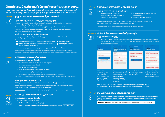## **வெளிநாட்டு உள்நாட்டு த�ொழிலாளர்களுககு (MDW)**

**POSB Payroll கணக்குடன், நீங்கள் இப்போது வீட்டிற்கு பணத்தை பாதுகாப்பாக அனுப்பி உங்கள் சம்பளத்தை பணமாக எடுக்கும் தேவை இல்லாமல் எளிதாக நிர்வகிக்கலாம்.** 

#### ஒரு **POSB Payroll கணக்கை த�ொடங்கவும் வழிமுறை 1**



எம் ஓ எம்'ன் அமைப்பின் மூலமாக வேலை அனுமதி வழங்குதல் கோரிக்கையில், ஒரு POSB Payroll கணக்கைத் திறககும் விருப்பத்தை தேர்ந்தெடுக்கவும். விண்ணப்பத்திற்கு முன்னர் உங்கள் எஃப் டி டபுள்யூ இன் ஒப்புதல் பெறப்பட வேண்டும். mom.gov.sg/fdw-eservices மூலமாக வேலை வழங்குபவர்கள் அல்லது வேலைவாய்ப்பு முகவர்கள் ஆன்லைன் மூலமாக விண்ணப்பிக்க முடியும்

#### **தற்போதுள்ள எஃப் டி டபுள்யூ க்களுக்கு**

எஃப் டி டபுள்யூ க்கள் பின்வரும் ஆவணங்கள் மற்றும் விவரங்களுடன் POSB Payroll கணக்கை ஆன்லைனில் விண்ணப்பிக்கலாம்:

**• பாஸ்போர்ட்** (குறைந்தபட்சம் 6 மாதங்கள் செல்லுபடி உள்ளது)

**• வேலை அனுமதி** (முன் மற்றும் பின் பக்க நகல்கள்) அல்லது **• மின்னஞ்சல் முகவரி**

**• மொபைல் எண்**<sup>1</sup>

posb.com.sg/mdwapply மூலமாக எஃப் டி டபுள்யூ க்கள் ஆன்லைனில் விண்ணப்பிக்கலாம்

<sup>1</sup> ஒரு போலி எண்ணை சரிபார்க்க, மொபைல் எண் உரிமத்தின் கடிதத்தை கடைசி 3 மாதங்களில் டெல்கோ மூலம் வழங்கப்பட வேண்டும் <sup>2</sup> ஐ பி ஏ ஐப் பயன்படுத்துகையில், தயவுசெய்து பக்கம் 1 மற்றும் 2 இன் 'உதவியாளர் நகலை ('வேலை வழங்குபவரின் நகல்' அல்ல) பதிவேற்றவும்

#### **கணக்கை செயல்படுத்தவும் வழிமுறை 2**

#### **எந்த POSB/DBS ஏடிஎம இலும்:**

**இன்-ப்ரின்சிபிள் ஒப்புதல்** (IPA)2

- செயல்படுத்தப்படாத உங்கள் புதிய ஏடிஎம்மை செருகவும்
- பெறப்பட்ட **New Card PIN** உள்ளிடவும்
- **More Services** தேர்ந்தெடுக்கவும்
- **Cards/PIN/iBanking/Phone Banking** தேர்ந்தெடுக்கவும்
- **Activate Card** என்பதை தேர்ந்தெடுக்கவும்
- செயல்பாட்டை முடிக்க ஏடிஎம் திரையில் உள்ள வழிமுறைகளைப் பின்பற்றவும்
- கார்ட் பெறப்பட்டதிலிருந்து 3 மாதங்களுக்குள் உங்கள் புதிய ஏடிஎம் கார்டை செயல்படுத்தப்படவேண்டும்.

#### **அல்லது எஸ் எம் எஸ் மூலமாக<sup>3</sup>:**

77767 க்கு எஸ் எம் எஸ் செய்யவும்: **Activate**<space>**கார்டின் கடைசி 4 இலக்கங்கள்.**

வங்கியில் பதிவு செய்யப்பட்ட எஃப் டி டபுள்யஇன் சிங்கப்பூர் மொபைல் எண்ணைப் பயன்படுத்தும் போது மட்டுமே எஸ் எம் எஸ் செயல்படுத்தல் செல்லுபடியாகும்.

<sup>3</sup> <u>posb.com.sg/mdwapply</u> வாயிலாக விண்ணப்பிக்கப்படும் கணக்குகளுக்கு மட்டுமே எஸ் எம் எஸ் மூலம் கணக்கு செயல்படுத்தல் பொருந்தும்

#### <sub>வழிமுறை</sub> 3 கணக்கு எண்ணை மீட்டெடுக்கவும்

## **Savings Account 123-45678-9**

#### **எந்த POSB/DBS ஏடிஎம இலும்:**  • உங்கள் ஏடிஎம் கார்டை செருகவும்

- **Check Account Balance** என்பதை தேர்ந்தெடுக்கவும்
- உங்கள் **9-digit POSB Payroll Savings Account Number** குறித்துக்கொள்ளவும் **XXX-XXXXX-X**

#### **ம�ொபைல் எண்ணை புதுப்பிக்கவும்<sup>4</sup> வழிமுறை 4**

#### **எந்த ஏ எக்ஸ் எஸ் இயந்திரத்திலும்:**

- **• POSB** என்பதை தேர்வுசெய்யவும் **• Services for Work Permit Account Holders** என்பதை தேர்வுசெய்யவும்
- **• Update Mobile Number Request** என்பதை தேர்வுசெய்யவும்
- **• New Mobile Number** உள்ளிடவும்

வெற்றிகரமாக செயல்படுத்தப்பட்ட புதுப்பித்தல் கோரிக்கைக்கு, 2 வேலை நாட்களுக்கு பிறகு உங்களுக்கு ஒரு உறுதிப்படுத்தல் எஸ் எம் எஸ் அனுப்பப்படும்.

<sup>4</sup> எம் ஓ எம்'ன் அமைப்பு மூலமாக விண்ணப்பிக்கப்பட்ட கணக்குகளுக்கு மட்டுமே வழிமுறை 4 பொருந்தும்

#### **digibank ம�ொபைலை பதிவிறக்கவும் வழிமுறை 5**

#### **எந்த POSB/DBS ATM இலும்:**

- **•** ஆப் ஸ்டோர் அல்லது கூகிள் ப்ளே ஸ்டோர் வாயிலாக **POSB digibank** மொபைலை பதிவிறக்கவும்
- **•** அட்டை எண், அட்டை பின் மற்றும் டிஜிட்டல் டோக்கன் பதிவு குறியீட்டைப் பயன்படுத்தி POSB digibank சுயவிவரத்தை அமைக்கவும்

| $\overline{\phantom{a}}$                                                                   | <b><i>REGISTRATION</i></b>                                                           | <b><i>BESIDERATION</i></b>                                          | <b><i>BESERVALLER</i></b>                                                                                                                 |
|--------------------------------------------------------------------------------------------|--------------------------------------------------------------------------------------|---------------------------------------------------------------------|-------------------------------------------------------------------------------------------------------------------------------------------|
| Log In<br>to digitiank                                                                     | As a start, help us know you<br>better                                               | What are your details?                                              | registration details                                                                                                                      |
| Freeholds (24 Hitch)<br><b>LOGIN</b><br><b>Rove a User Character</b><br><b>GET STARTED</b> | <b>Select Passport</b><br><b>Enter Passport Number</b><br><b>Enter Date of Birth</b> | <b>Enter ATM Card Number</b><br><b>Enter ATM PIN</b><br><b>NEXT</b> | Contente (D)<br>Create digibank User ID<br>Create digibank PIN<br>Re-enter digibank PIN<br>+ASKKKX1204<br><b>Enter your Email Address</b> |
| 1. POSB digibank<br>மொபைல் ஆப்பை<br>கொடங்கி லாக்                                           | 2. அடையாள வகைக்கு,<br>Passport தேர்ந்தெடுக்கவும்.<br>அடையாள எண்ணிற்க்கு,             | 3. உங்கள் ATM Card<br>Number மற்றும் ATM PIN<br><u>ஐஉள்ளிடவும்.</u> | 4. ஒரு User ID & PIN,<br>உருவாக்கி சுயவிவர<br>அமைப்பை பூர்த்தி                                                                            |

தொடங்கி லாக் இன் பக்கத்தில் **Get Started** என்பதை தேர்ந்தெடுக்கவும்.

அடையாள எண்ணிற்க்கு, **Passport Number** தேர்ந்தெடுக்கவும். உங்கள் **Date of Birth**  உள்ளிடவும்

அமைப்பை பூர்த செய்து வெளியேறவும்.

**S \$ 0 கட்டணத்தில் DBS Remit வழியாக உங்கள் கணக்கின் இருப்பை சரிபார்த்து, நிதி பரிமாற்றம் செய்து ஊதியத்தை வீட்டிற்கு திரும்ப அனுப்பவும். எந்த நேரமும்!**

#### **சம்பளத்தை பெற த�ொடங்குங்கள் வழிமுறை 6**



B

<u>န</u>

**இந்த சிற்றேடு மற்றும் உங்கள் POSB Payroll கணக்கு எண்ணை உங்கள் வேலை வழங்குபவருடன் பகிர்ந்து கொள்ளுங்கள், மேலும் உங்கள் மாத சம்பளத்தை நேரடியாக உங்கள் கணக்கில் பெறத் தொடங்குங்கள்!**

 **POSB Payroll கணக்கு** பற்றி மேலும் தகவலைப்பெற posb.com.sg/mdwsalarycredit குச் செல்லவும்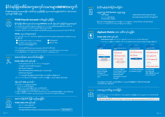# ႏိုင္ငံရပ္ျခားအိမ္အကူအလုပ္သမားမ်ား**(MDW)**အတြက္

POSB Payrooll Account ဖြင့် သင့်အိမ်သို့ ငွေလွှဲပို့နိုင်ပြီး ငွေသားထုတ်ယူရန်မလိုအပ်ဘဲ သင့်လစာအား လွယ်ကူစွာ စီမံနိင်သည်။

## **POSB Payroll Account** တစ်ခုဖွင့်လှစ်ခြင်း



နိုင်ငံရပ်ခြားအိမ်အကူအလုပ်သမားများ**(MDWs)** အသစ် သို့မဟုတ် လွှဲပြောင်းသူများအတွက် MOM စနစ်မှတဆင့် အလုပ်ပါမစ် လျောက်ထားသည့်အခါ POSB Payroll အကောင့်ဖွင့်ဖို့ ရွေးချယ်ရန်နေရာကို အမှတ်ပေးပါ။ MDW သဘောတူညီချက်အား လျောက်ထားမှုအတွက် ကြိုတင်ရယူထားရပါမည်။

အလုပ်ရှင်များ သို့မဟုတ် အလုပ်သမားအေဂျင်စီများသည် အွန်လိုင်းရှိ <u>mom.gov.sg/fdw-eservices</u> တွင် လျှောက်ထားနိုင်သည်။

#### **MDWs** လူေဟာင္းမ်ားအတြက္

MDWs များသည် POSB Payroll အကောင့်အား အွန်လိုင်းမှတဆင့် အောက်ပါ စာရွက်စာတမ်းနှင့်အချက်အလက်များနှင့်တကွ လျှော ကထားနိုင်သည−−

- ႏိုင္ငံကူးလက္မွတ္ (အနည္းဆုံး ၆ လသက္တမ္းရွိရမည္) • အလုပ်ပါမစ် (ရှေ့နှင့်နောက်မျက်နာ မိတ္တူများ)
- မိုဘိုင္းဖုန္းနံပါတ္ <sup>1</sup>
- မား မုဒိဏ္ေျများ<br>သို့မဟုတ္ပ်ံသက်တမ်းတိုးခွင့်ပြုချက် <sup>(IPA)2</sup>
- အီးေမးလ္ လိပ္စာ

#### MDWs များသည် အွန်လိုင်းရှိ <u>posb.com.sg/mdwapply</u> တွင်လျောက်ထားနိုင်သည်။

 $^{\text{1}}$ နံပါတ်ထပ်တူဖြစ်နေခြင်းများစစ်ဆေးဖို့ မိုဘိုင်းဖုန်းနံပါတ် ပိုင်ဆိုင်မှုစာရွက်ကို ပြီးခဲ့သည့် ၃ လအတွင်း ဖုန်းနံပါတ်ပံ့ပိုးသူမှ ထုတ်ပေးထားရပါမည်။ <sup>2</sup> IPA အားအသုံးပြုမည်ဆိုလျှင် 'Helper's မိတ္တူ' စာမျက်နှာ ၁ နှင့် ၂ ကို တင်သွင်းပါ၊ ( 'အလုပ်ရှင်၏ မိတ္တူ' မဟုတ်ပါ)

# အဆင့္ ၂

## အေကာင့္အား အသက္ဝင္ေစျခင္း

#### **POSB/DBS ATM** တြင္မဆို−

- $\,\cdot\,$  အသက်မသွင်းရသေးသော သင့် New ATM card အားထည့်သွင်းပါ
- လက္ခံရရွိေသာ **New Card PIN** ကိုထည့္သြင္းပါ
- **More Services** ကိုေ႐ြးခ်ယ္ပါ
- **Cards/PIN/iBanking/Phone Banking တို့အား အဆင့်လိုက်ရွေးပါ**
- **Activate Card** ကိုေ႐ြးခ်ယ္ပါ
- $\,$  ATM မျက်နှာပြင်ပေါ်ရှိ ညွှန်ပြချက်အတိုင်းလိုက်ပါ၍ အသက်သွင်းခြင်းအား ပြီးမြောက်စေပါ

သင့် ATM card အသစ်အား အသက်သွင်းခြင်းမှာ ကတ်အား လက်ခံရရှိပြီး ၃ လအတွင်း အပြီးေဆာင်ရွက်ရပါမည်၊

## သို႔မဟုတ္ **SMS** မွတဆင့္**<sup>3</sup>**−

- ာ<br>SMS မှတဆင့် 77767 သို့ စာပို့အသက်သွင်းရန်
- -<br>- Activate ဟု အင်္ဂလိပ်လို <u>စာရိုက်ပ</u>ါ
- ပြီးလျှင် <space> နေရာတစ်ခုခြားပါ၊ space ဟုစာရိုက်ရန်မလိုပါ
- ကဒ္၏ ေနာက္ဆုံးဂဏန္း ၄လုံးကိုထည့္ပါ (ဥပမာ : Activate 2345)

3 SMS ဖြင့္ အကောင့္အားအသက်သွင်းရြင်းမှာ <u>posb.com.sg/mdwapply</u> မှတဆင့်လျောက်ထားသောသူများအတွက်သာဖြစ်သည်။<br>ဒီ SMS ဖြင့် အကောင့်အားအသက်သွင်းရြင်းမှာ <u>posb.com.sg/mdwapply</u> မှတဆင့်လျောက်ထားသောသူများအတွက်သာဖြစ်သည်။

## အေကာင့္နံပါတ္ ျပန္လည္ရယူျခင္း

## **POSB/DBS ATM** တြင္မဆို−

- သင့္ ATM ကတ္အားထည့္သြင္းပါ
- **Check Account Balance** ကိုေ႐ြးပါ
- သင့္**9-digit POSB Payroll Savings Account Number** ရွိ နံပါတ္မ်ားကိုေရးမွတ္ထားပါ **XXX-XXXXX-X**



## မညျသည္မူ AXS Machine မညျသည္မူ−

• **POSB** ကိုေ႐ြးပါ

- **Update Mobile Number Request** ကို ေ႐ြးပါ
- **New Mobile Number** နံပါတ္အသစ္ထည့္သြင္းပါ
- Services for **Work Permit Account Holders** ကိုေ႐ြးပါ
- ပြင်ဆင်မှုတောင်းဆိုချက်ပြည့်စုံရန်အတွက် အတည်ပြု SMS အား ရုံးဖွင့်ရက် ၂ ရက်နောက်ပိုင်းတွင် သင့်ထံသို့ပေးပို့ပါမည်။ —<br>|အဆင့် ၄ မှာ MOM's စနစ်မှတဆင့် အကောင့်လျှောက်ထားပြီးသူများအတွက်သာဖြစ်သည်



## **digibank Mobile** အား ေဒါင္းလုပ္ယူျခင္း

## **POSB/DBS ATM** တြင္မဆို−

- **POSB digibank Mobile** အား App Store သို႔မဟုတ္ Google Play Store မွတဆင့္ ေဒါင္းလုပ္ယူပါ
- POSB digibank ပရိုဖိုင်အား ကတ်နံပါတ်၊ ကတ် PIN နှင့် ဒစ်ဂျစ်တယ်တုံကင် မှတ်ပုံတင်ကုဒ်များကို သုံးရဲအသစ်ပြုလုပ်ပါ

| Legin<br>to digibank                                                                          | ×<br><b><i><u>ABILIDARAS FIRITI</u></i></b><br><b>Hellet</b><br>As a start, help us know you<br>botter  | <b>REGISTRATION</b><br>Grussi<br>What are your details?      | ×<br><b>BESIDEAATUM</b><br>registration details                                                                                                      |
|-----------------------------------------------------------------------------------------------|---------------------------------------------------------------------------------------------------------|--------------------------------------------------------------|------------------------------------------------------------------------------------------------------------------------------------------------------|
| Freed Law D + 1927<br><b>LOGIN</b><br>Senthane a Use 12 and FBIT<br>GET STARTED               | <b>Select Passport</b><br><b>Enter Passport Number</b><br>James 41 Worth<br><b>Enter Date of Birth</b>  | <b>Enter ATM Card Number</b><br><b>Enter ATM PIN</b><br>NEXT | Contented D<br>Create digibank User ID<br>Comp PA<br>Create digibank PIN<br>Re-enter digibank PIN<br>+65XXXXX1206<br><b>Enter your Email Address</b> |
| <b>OII</b> POSB digibank<br>မိုဘိုင်းအက်ပ်ကိုဖွင့်ပြီး<br>Get Started ကိ<br>လောအင်စာမျက်နာတင် | ု။ မှတ်ပုံတင်အမျိုးအစား<br>အတွက် Passport ကိုရွေးပါ။<br>မှတ်ပုံတင်နံပါတ်အတွက်<br><b>Passport Number</b> | <b>p</b> သင့် ATM Card Number<br>နှင့် ATM PIN ကိုထည့်ပါ။    | <b>ÇII User ID &amp; PIN</b><br>ကိုအသစ်ပြုလုပ်ပြီး<br>ပရိုဖိုင်အားပြီးမြောက်စေလျက်<br>လောအောက်ထွက်ပါ။                                                |

သင့်စာရင်းရှိငွေအားစစ်ဆေးခြင်း၊ ငွေလွှဲပြောင်းခြင်းနှင့် လစာငွေများအိမ်သို့ပြန်ပို့ခြင်းအား **DBS Remit S\$0** နှန်းဖြင့် <u>ေဆာင်ရွက်နိုင်သည်။ အချိန်မရွေးပါ။</u>

ကိုေရးထည့္ပါ။ သင့္ ေမြးရက္

ကိုထည့္ပါ။

## လစာငွေလက်ခံမှ စတင်ခြင်း

ေ႐ြးပါ။



**POSB Payroll** အေကာင့္ ဆိုင္ရာ ေနာက္ထပ္အခ်က္အလက္မ်ားအတြက္ posb.com.sg/mdwsalarycredit သို႔ဝင္ေရာက္ေလ့လာပါ။

အဆင့္ ၃

**Savings Account 123-45678-9**



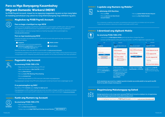## **Para sa Mga Banyagang Kasambahay (Migrant Domestic Workers) (MDW)**

**Sa POSB Payroll Account, maaari ka na ngayong magpadala ng pera sa inyo nang ligtas at madaling pamahalaan ang sahod mo nang hindi kailangang mag-withdraw ng pera.** 

#### **Magbukas ng POSB Payroll Account HAKBANG 1**



#### **Para sa bago o lumilipat na mga MDW**

Kapag humihiling ng pagbigay ng pahintulot sa pagtatrabaho sa pamamagitan ng MOM system, piliin ang opsiyon para magbukas ng POSB Payroll account. Ang pahintulot ng MDW ay dapat makuha bago ang aplikasyon.

Ang mga employer o ahensiya ng pag-empleyo ay maaaring mag-apply online sa pamamagitan ng mom.gov.sg/fdw-eservices

#### **Para sa mga kasalukuyang MDW**

Maaaring mag-apply ang mga MDW para sa POSB Payroll account online gamit ang mga sumusunod na dokumento at detalye:



#### **Mobile number**

(hindi bababa sa 6 na buwang pagkabalido) **Pahintulot sa pagtatrabaho** (kopya ng harap at likod) o **In-Principle Approval** (IPA)2

**Email address**

Maaaring mag-apply online ang mga MDW sa pamamagitan ng posb.com.sg/mdwapply

<sup>1</sup> Para patotohanan ang dobleng numero, ang liham ng pag-aari ng numero ng mobile, ay dapat maibigay sa loob ng nakaraang 3 buwan ng telco <sup>2</sup> Kung gumagamit ng IPA, mangyaring mag-upload ng kopya ng pahina 1 at 2 ng 'Kopya ng Katulong' (hindi 'Kopya ng Employer')

#### **Paganahin ang Account HAKBANG 2**



#### **Sa anumang POSB/DBS ATM:**

- Ilagay ang iyong hindi aktibong Bagong ATM card
- Ilagay ang natanggap na **New Card PIN** received
- Piliin ang **More Services**
- Piliin ang **Cards/PIN/iBanking/Phone Banking**
- Piliin ang **Activate Card**
- Sundin ang mga tagubilin sa ATM screen para makumpleto ang pagpapagana

Ang pagpapagana ng bago mong ATM card ay dapat gawin sa loob ng 3 buwan mula sa pagtanggap ng card.

#### **O sa pamamagitan ng SMS3:**

#### Mag-SMS sa 77767: **Activate**<space>**huling 4 na digit ng card.**

Ang pagpapagana sa SMS ay balido lang kung ang numero ng mobile sa Singapor ng MDW ay nakarehistro sa bangko. <sup>3</sup> Ang pagpapagana sa account gamit ang SMS ay ilalapat lang sa mga account na in-apply sa pamamagitan ng posb.com.sg/mdwapply

#### **HAKBANG 3 Kunin ang Numero ng Account**



#### **Sa anumang POSB/DBS ATM:**

- Ilagay ang iyong ATM card
- Piliin ang **Check Account Balance**
- Tandaan ang iyong **9-digit POSB Payroll Savings Account Number XXX-XXXXX-X**

## **I-update ang Numero ng Mobile 4 HAKBANG 4**



#### **Sa alinmang AXS Machine:**

- Piliin ang **POSB** • Piliin ang **Services for Work Permit Account Holders**
- Piliin ang **Update Mobile Number Request**
- Ipasok ang **New Mobile Number**

Para sa matagumpay na paghiling sa pag-update, may ipadadalang kumpirmasyong SMS sa iyo makalipas ang 2 araw ng trabaho. 4 Angkop lang ang Hakbang 4 sa mga account na inilapat sa pamamagitan ng MOM's system

#### **I-download ang digibank Mobile HAKBANG 5**



#### **Sa anumang POSB/DBS ATM:**

• I-download ang **POSB digibank Mobile** gamit ang App Store o Google Play Store

• Gumawa ng POSB digibank profile gamit ang card number, card PIN at digital token registration code

| _                                                                                              | <b><i><u>ASILISASAFUM</u></i></b>                                                                                                   |                                                              | <b><i><u>BEISEERAFER</u></i></b>                                                                                                             |
|------------------------------------------------------------------------------------------------|-------------------------------------------------------------------------------------------------------------------------------------|--------------------------------------------------------------|----------------------------------------------------------------------------------------------------------------------------------------------|
| <b>Leg In</b><br>to digibank                                                                   | As a start, help us know you<br>better                                                                                              | Granti<br>What are your details?                             | registration details                                                                                                                         |
| Freed Lot Die 1907<br>LOGIN<br><b>Son a Use O and FBF</b><br>GET STARTED                       | <b>Select Passport</b><br><b>Enter Passport Number</b><br><b>Enter Date of Birth</b>                                                | <b>Enter ATM Card Number</b><br><b>Enter ATM PIN</b><br>NEXT | Contractor CO<br>Create digibank User ID<br>Create digibank PIN<br>Re-enter digibank PIN<br>+AlixxxxX1304<br><b>Enter your Email Address</b> |
| 1. Ilunsad ang POSB<br>digibank Mobile app at<br>piliin ang Get Started sa<br>pahina ng login. | 2. Para sa Klase ng<br>Pagkakakilanlan, piliin ang<br>Passport. Para sa Numero<br>ng Pagkakakilanlan, ilagay<br>ang Passport Number | 3. Ilagay ang iyong ATM<br><b>Card Number at ATM PIN.</b>    | 4. Gumawa ng User ID<br>& PIN, kumpletuhin ang<br>profile set-up at mag-log<br>out.                                                          |

**Suriin ang balanse ng account mo, maglipat ng pondo at ipadala ng suweldo pabalik sa inyo gamit ang DBS Remit na may S\$0 na bayad. Anumang oras!**

#### **Magsimulang Makatanggap ng Sahod HAKBANG 6**

mo. Ilagay ang iyong **Date of Birth.**



**Ibahagi ang brochure na ito at ang numero ng iyong POSB Payroll Account sa employer mo, at magsimulang diretang matanggap ang buwanan mong sahod sa iyong account.**

Para sa karagdagang impormasyon sa **POSB Payroll Account,** pumunta sa posb.com.sg/mdwsalarycredit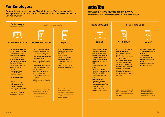## **For Employers**

**Forget withdrawing cash for your Migrant Domestic Worker every month. Paydays are made simple when you credit their salary directly without hassle, anytime, anywhere!**



雇主须知

您无须再每个月提取现金以支付外籍家庭佣工的工资。

随时随地轻松快捷地转账支付他们的工资,发薪从未如此简单!